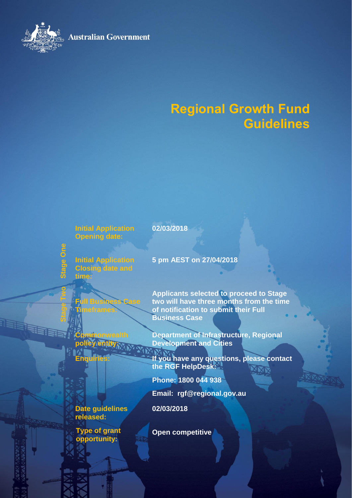**Australian Government** 



# **Regional Growth Fund Guidelines**

#### **Initial Application Opening date:**

**02/03/2018**

**Stage One Initial Application Closing date and time:**

> **Full Business Case Timefram**

**Stage Two**

**5 pm AEST on 27/04/2018**

**Applicants selected to proceed to Stage two will have three months from the time of notification to submit their Full Business Case**

**Commonwealth policy entity:**

**Department of Infrastructure, Regional Development and Cities**

**Enquiries: If you have any questions, please contact the RGF HelpDesk:**

**Phone: 1800 044 938**

**Email: rgf@regional.gov.au**

**02/03/2018**

**Open competitive**

**Date guidelines released:**

**Type of grant opportunity:**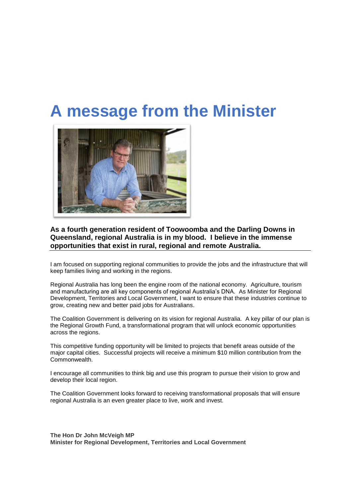# **A message from the Minister**



#### **As a fourth generation resident of Toowoomba and the Darling Downs in Queensland, regional Australia is in my blood. I believe in the immense opportunities that exist in rural, regional and remote Australia.**

I am focused on supporting regional communities to provide the jobs and the infrastructure that will keep families living and working in the regions.

Regional Australia has long been the engine room of the national economy. Agriculture, tourism and manufacturing are all key components of regional Australia's DNA. As Minister for Regional Development, Territories and Local Government, I want to ensure that these industries continue to grow, creating new and better paid jobs for Australians.

The Coalition Government is delivering on its vision for regional Australia. A key pillar of our plan is the Regional Growth Fund, a transformational program that will unlock economic opportunities across the regions.

This competitive funding opportunity will be limited to projects that benefit areas outside of the major capital cities. Successful projects will receive a minimum \$10 million contribution from the Commonwealth.

I encourage all communities to think big and use this program to pursue their vision to grow and develop their local region.

The Coalition Government looks forward to receiving transformational proposals that will ensure regional Australia is an even greater place to live, work and invest.

**The Hon Dr John McVeigh MP Minister for Regional Development, Territories and Local Government**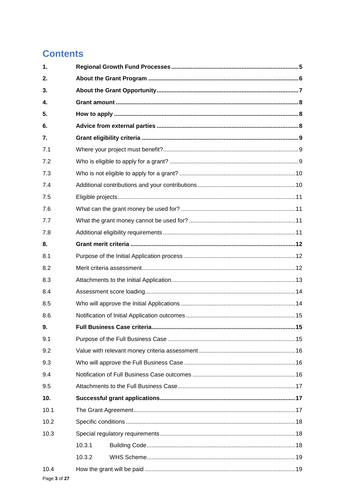## **Contents**

| 1.   |        |  |  |
|------|--------|--|--|
| 2.   |        |  |  |
| 3.   |        |  |  |
| 4.   |        |  |  |
| 5.   |        |  |  |
| 6.   |        |  |  |
| 7.   |        |  |  |
| 7.1  |        |  |  |
| 7.2  |        |  |  |
| 7.3  |        |  |  |
| 7.4  |        |  |  |
| 7.5  |        |  |  |
| 7.6  |        |  |  |
| 7.7  |        |  |  |
| 7.8  |        |  |  |
| 8.   |        |  |  |
| 8.1  |        |  |  |
| 8.2  |        |  |  |
| 8.3  |        |  |  |
| 8.4  |        |  |  |
| 8.5  |        |  |  |
| 8.6  |        |  |  |
| 9.   | 15     |  |  |
| 9.1  |        |  |  |
| 9.2  |        |  |  |
| 9.3  |        |  |  |
| 9.4  |        |  |  |
| 9.5  |        |  |  |
| 10.  |        |  |  |
| 10.1 |        |  |  |
| 10.2 |        |  |  |
| 10.3 |        |  |  |
|      | 10.3.1 |  |  |
|      | 10.3.2 |  |  |
| 10.4 |        |  |  |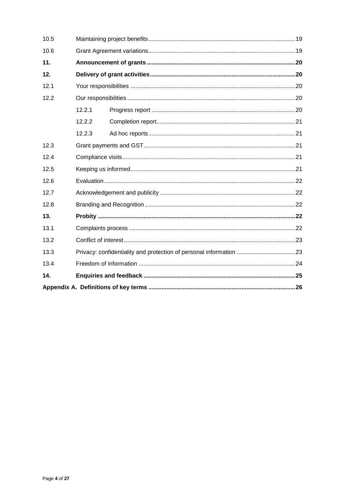| 10.5 |                                                                    |  |  |  |
|------|--------------------------------------------------------------------|--|--|--|
| 10.6 |                                                                    |  |  |  |
| 11.  |                                                                    |  |  |  |
| 12.  |                                                                    |  |  |  |
| 12.1 |                                                                    |  |  |  |
| 12.2 |                                                                    |  |  |  |
|      | 12.2.1                                                             |  |  |  |
|      | 12.2.2                                                             |  |  |  |
|      | 12.2.3                                                             |  |  |  |
| 12.3 |                                                                    |  |  |  |
| 12.4 |                                                                    |  |  |  |
| 12.5 |                                                                    |  |  |  |
| 12.6 |                                                                    |  |  |  |
| 12.7 |                                                                    |  |  |  |
| 12.8 |                                                                    |  |  |  |
| 13.  |                                                                    |  |  |  |
| 13.1 |                                                                    |  |  |  |
| 13.2 |                                                                    |  |  |  |
| 13.3 | Privacy: confidentiality and protection of personal information 23 |  |  |  |
| 13.4 |                                                                    |  |  |  |
| 14.  |                                                                    |  |  |  |
|      |                                                                    |  |  |  |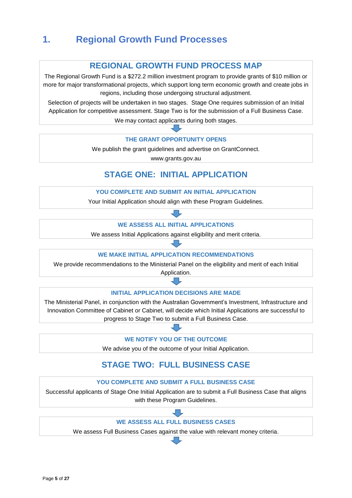## **1. Regional Growth Fund Processes**

### **REGIONAL GROWTH FUND PROCESS MAP**

The Regional Growth Fund is a \$272.2 million investment program to provide grants of \$10 million or more for major transformational projects, which support long term economic growth and create jobs in regions, including those undergoing structural adjustment.

Selection of projects will be undertaken in two stages. Stage One requires submission of an Initial Application for competitive assessment. Stage Two is for the submission of a Full Business Case.

We may contact applicants during both stages.

**THE GRANT OPPORTUNITY OPENS**

We publish the grant guidelines and advertise on GrantConnect.

www.grants.gov.au

### **STAGE ONE: INITIAL APPLICATION**

#### **YOU COMPLETE AND SUBMIT AN INITIAL APPLICATION**

Your Initial Application should align with these Program Guidelines.

#### **WE ASSESS ALL INITIAL APPLICATIONS**

We assess Initial Applications against eligibility and merit criteria.

#### **WE MAKE INITIAL APPLICATION RECOMMENDATIONS**

We provide recommendations to the Ministerial Panel on the eligibility and merit of each Initial Application.

**INITIAL APPLICATION DECISIONS ARE MADE** 

The Ministerial Panel, in conjunction with the Australian Government's Investment, Infrastructure and Innovation Committee of Cabinet or Cabinet, will decide which Initial Applications are successful to progress to Stage Two to submit a Full Business Case.

#### **WE NOTIFY YOU OF THE OUTCOME**

We advise you of the outcome of your Initial Application.

### **STAGE TWO: FULL BUSINESS CASE**

#### **YOU COMPLETE AND SUBMIT A FULL BUSINESS CASE**

Successful applicants of Stage One Initial Application are to submit a Full Business Case that aligns with these Program Guidelines.

#### **WE ASSESS ALL FULL BUSINESS CASES**

We assess Full Business Cases against the value with relevant money criteria.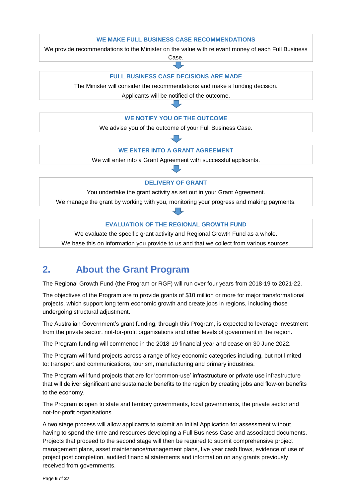#### **WE MAKE FULL BUSINESS CASE RECOMMENDATIONS**

We provide recommendations to the Minister on the value with relevant money of each Full Business

Case.

#### **FULL BUSINESS CASE DECISIONS ARE MADE**

The Minister will consider the recommendations and make a funding decision.

Applicants will be notified of the outcome.

#### **WE NOTIFY YOU OF THE OUTCOME E**

We advise you of the outcome of your Full Business Case. **N**

**O T**

#### **WE ENTER INTO A GRANT AGREEMENT E I W**

We will enter into a Grant Agreement with successful applicants.

#### **DELIVERY OF GRANT T I O Y**

**O**

**Y**

You undertake the grant activity as set out in your Grant Agreement. **F U**

We manage the grant by working with you, monitoring your progress and making payments. **Y O F**

**Y**

#### **EVALUATION OF THE REGIONAL GROWTH FUND O U H T**

We evaluate the specific grant activity and Regional Growth Fund as a whole. **O E**

We base this on information you provide to us and that we collect from various sources.

### **2.** About the Grant Program

The Regional Growth Fund (the Program or RGF) will run over four years from 2018-19 to 2021-22. **U M**

The objectives of the Program are to provide grants of \$10 million or more for major transformational **T E** projects, which support long term economic growth and create jobs in regions, including those **C** W undergoing structural adjustment.

The Australian Government's grant funding, through this Program, is expected to leverage investment from the private sector, not-for-profit organisations and other levels of government in the region. **E** d

The Program funding will commence in the 2018-19 financial year and cease on 30 June 2022.

The Program will fund projects across a range of key economic categories including, but not limited a s to: transport and communications, tourism, manufacturing and primary industries. d e Ĭ,

The Program will fund projects that are for 'common-use' infrastructure or private use infrastructure i o that will deliver significant and sustainable benefits to the region by creating jobs and flow-on benefits to the economy.

The Program is open to state and territory governments, local governments, the private sector and not-for-profit organisations.

A two stage process will allow applicants to submit an Initial Application for assessment without having to spend the time and resources developing a Full Business Case and associated documents. Projects that proceed to the second stage will then be required to submit comprehensive project management plans, asset maintenance/management plans, five year cash flows, evidence of use of project post completion, audited financial statements and information on any grants previously e c received from governments. <sup>ar</sup>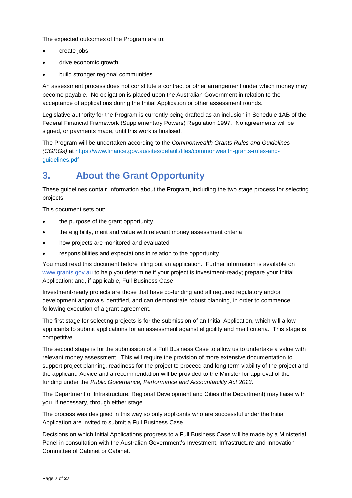The expected outcomes of the Program are to:

- create jobs
- drive economic growth
- build stronger regional communities.

An assessment process does not constitute a contract or other arrangement under which money may become payable. No obligation is placed upon the Australian Government in relation to the acceptance of applications during the Initial Application or other assessment rounds.

Legislative authority for the Program is currently being drafted as an inclusion in Schedule 1AB of the Federal Financial Framework (Supplementary Powers) Regulation 1997. No agreements will be signed, or payments made, until this work is finalised.

The Program will be undertaken according to the *Commonwealth Grants Rules and Guidelines (CGRGs)* at https://www.finance.gov.au/sites/default/files/commonwealth-grants-rules-andguidelines.pdf

### **3. About the Grant Opportunity**

These guidelines contain information about the Program, including the two stage process for selecting projects.

This document sets out:

- the purpose of the grant opportunity
- the eligibility, merit and value with relevant money assessment criteria
- how projects are monitored and evaluated
- responsibilities and expectations in relation to the opportunity.

You must read this document before filling out an application. Further information is available on [www.grants.gov.au](http://www.grants.gov.au/) to help you determine if your project is investment-ready; prepare your Initial Application; and, if applicable, Full Business Case.

Investment-ready projects are those that have co-funding and all required regulatory and/or development approvals identified, and can demonstrate robust planning, in order to commence following execution of a grant agreement.

The first stage for selecting projects is for the submission of an Initial Application, which will allow applicants to submit applications for an assessment against eligibility and merit criteria. This stage is competitive.

The second stage is for the submission of a Full Business Case to allow us to undertake a value with relevant money assessment. This will require the provision of more extensive documentation to support project planning, readiness for the project to proceed and long term viability of the project and the applicant. Advice and a recommendation will be provided to the Minister for approval of the funding under the *Public Governance, Performance and Accountability Act 2013*.

The Department of Infrastructure, Regional Development and Cities (the Department) may liaise with you, if necessary, through either stage.

The process was designed in this way so only applicants who are successful under the Initial Application are invited to submit a Full Business Case.

Decisions on which Initial Applications progress to a Full Business Case will be made by a Ministerial Panel in consultation with the Australian Government's Investment, Infrastructure and Innovation Committee of Cabinet or Cabinet.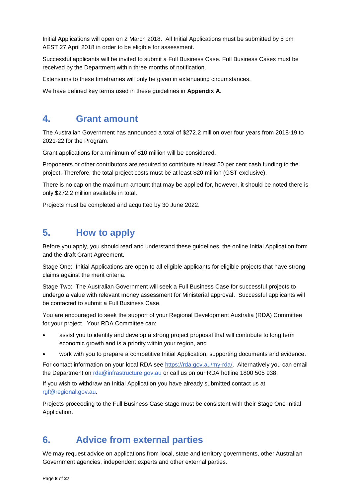Initial Applications will open on 2 March 2018. All Initial Applications must be submitted by 5 pm AEST 27 April 2018 in order to be eligible for assessment.

Successful applicants will be invited to submit a Full Business Case. Full Business Cases must be received by the Department within three months of notification.

Extensions to these timeframes will only be given in extenuating circumstances.

We have defined key terms used in these guidelines in **Appendix A**.

### **4. Grant amount**

The Australian Government has announced a total of \$272.2 million over four years from 2018-19 to 2021-22 for the Program.

Grant applications for a minimum of \$10 million will be considered.

Proponents or other contributors are required to contribute at least 50 per cent cash funding to the project. Therefore, the total project costs must be at least \$20 million (GST exclusive).

There is no cap on the maximum amount that may be applied for, however, it should be noted there is only \$272.2 million available in total.

Projects must be completed and acquitted by 30 June 2022.

### **5. How to apply**

Before you apply, you should read and understand these guidelines, the online Initial Application form and the draft Grant Agreement.

Stage One: Initial Applications are open to all eligible applicants for eligible projects that have strong claims against the merit criteria.

Stage Two: The Australian Government will seek a Full Business Case for successful projects to undergo a value with relevant money assessment for Ministerial approval. Successful applicants will be contacted to submit a Full Business Case.

You are encouraged to seek the support of your Regional Development Australia (RDA) Committee for your project. Your RDA Committee can:

- assist you to identify and develop a strong project proposal that will contribute to long term economic growth and is a priority within your region, and
- work with you to prepare a competitive Initial Application, supporting documents and evidence.

For contact information on your local RDA see [https://rda.gov.au/my-rda/.](https://rda.gov.au/my-rda/) Alternatively you can email the Department on [rda@infrastructure.gov.au](mailto:rda@infrastructure.gov.au) or call us on our RDA hotline 1800 505 938.

If you wish to withdraw an Initial Application you have already submitted contact us at [rgf@regional.gov.au.](mailto:rgf@regional.gov.au)

Projects proceeding to the Full Business Case stage must be consistent with their Stage One Initial Application.

### **6. Advice from external parties**

We may request advice on applications from local, state and territory governments, other Australian Government agencies, independent experts and other external parties.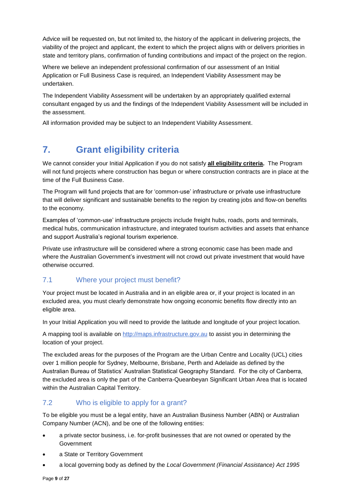Advice will be requested on, but not limited to, the history of the applicant in delivering projects, the viability of the project and applicant, the extent to which the project aligns with or delivers priorities in state and territory plans, confirmation of funding contributions and impact of the project on the region.

Where we believe an independent professional confirmation of our assessment of an Initial Application or Full Business Case is required, an Independent Viability Assessment may be undertaken.

The Independent Viability Assessment will be undertaken by an appropriately qualified external consultant engaged by us and the findings of the Independent Viability Assessment will be included in the assessment.

All information provided may be subject to an Independent Viability Assessment.

### **7. Grant eligibility criteria**

We cannot consider your Initial Application if you do not satisfy **all eligibility criteria.** The Program will not fund projects where construction has begun or where construction contracts are in place at the time of the Full Business Case.

The Program will fund projects that are for 'common-use' infrastructure or private use infrastructure that will deliver significant and sustainable benefits to the region by creating jobs and flow-on benefits to the economy.

Examples of 'common-use' infrastructure projects include freight hubs, roads, ports and terminals, medical hubs, communication infrastructure, and integrated tourism activities and assets that enhance and support Australia's regional tourism experience.

Private use infrastructure will be considered where a strong economic case has been made and where the Australian Government's investment will not crowd out private investment that would have otherwise occurred.

### 7.1 Where your project must benefit?

Your project must be located in Australia and in an eligible area or, if your project is located in an excluded area, you must clearly demonstrate how ongoing economic benefits flow directly into an eligible area.

In your Initial Application you will need to provide the latitude and longitude of your project location.

A mapping tool is available on [http://maps.infrastructure.gov.au](http://maps.infrastructure.gov.au/) to assist you in determining the location of your project.

The excluded areas for the purposes of the Program are the Urban Centre and Locality (UCL) cities over 1 million people for Sydney, Melbourne, Brisbane, Perth and Adelaide as defined by the Australian Bureau of Statistics' Australian Statistical Geography Standard. For the city of Canberra, the excluded area is only the part of the Canberra-Queanbeyan Significant Urban Area that is located within the Australian Capital Territory.

### 7.2 Who is eligible to apply for a grant?

To be eligible you must be a legal entity, have an Australian Business Number (ABN) or Australian Company Number (ACN), and be one of the following entities:

- a private sector business, i.e. for-profit businesses that are not owned or operated by the Government
- a State or Territory Government
- a local governing body as defined by the *Local Government (Financial Assistance) Act 1995*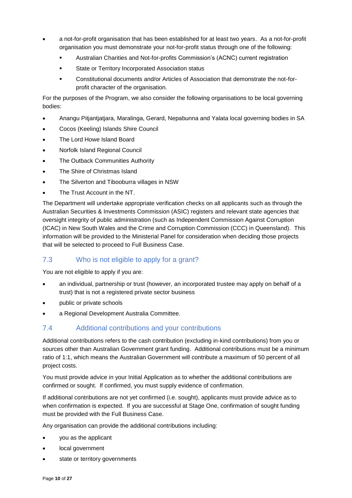- a not-for-profit organisation that has been established for at least two years. As a not-for-profit organisation you must demonstrate your not-for-profit status through one of the following:
	- Australian Charities and Not-for-profits Commission's (ACNC) current registration
	- **EXECUTE:** State or Territory Incorporated Association status
	- Constitutional documents and/or Articles of Association that demonstrate the not-forprofit character of the organisation.

For the purposes of the Program, we also consider the following organisations to be local governing bodies:

- Anangu Pitjantjatjara, Maralinga, Gerard, Nepabunna and Yalata local governing bodies in SA
- Cocos (Keeling) Islands Shire Council
- The Lord Howe Island Board
- Norfolk Island Regional Council
- The Outback Communities Authority
- The Shire of Christmas Island
- The Silverton and Tibooburra villages in NSW
- The Trust Account in the NT.

The Department will undertake appropriate verification checks on all applicants such as through the Australian Securities & Investments Commission (ASIC) registers and relevant state agencies that oversight integrity of public administration (such as Independent Commission Against Corruption (ICAC) in New South Wales and the Crime and Corruption Commission (CCC) in Queensland). This information will be provided to the Ministerial Panel for consideration when deciding those projects that will be selected to proceed to Full Business Case.

#### 7.3 Who is not eligible to apply for a grant?

You are not eligible to apply if you are:

- an individual, partnership or trust (however, an incorporated trustee may apply on behalf of a trust) that is not a registered private sector business
- public or private schools
- a Regional Development Australia Committee.

#### 7.4 Additional contributions and your contributions

Additional contributions refers to the cash contribution (excluding in-kind contributions) from you or sources other than Australian Government grant funding. Additional contributions must be a minimum ratio of 1:1, which means the Australian Government will contribute a maximum of 50 percent of all project costs.

You must provide advice in your Initial Application as to whether the additional contributions are confirmed or sought. If confirmed, you must supply evidence of confirmation.

If additional contributions are not yet confirmed (i.e. sought), applicants must provide advice as to when confirmation is expected. If you are successful at Stage One, confirmation of sought funding must be provided with the Full Business Case.

Any organisation can provide the additional contributions including:

- you as the applicant
- local government
- state or territory governments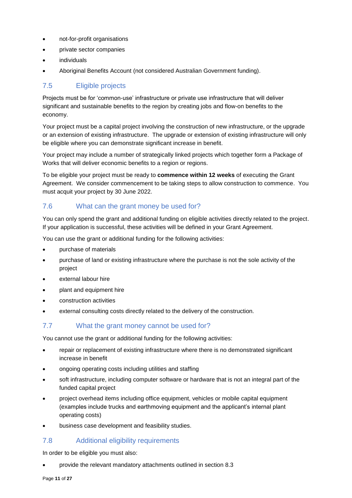- not-for-profit organisations
- private sector companies
- individuals
- Aboriginal Benefits Account (not considered Australian Government funding).

#### 7.5 Eligible projects

Projects must be for 'common-use' infrastructure or private use infrastructure that will deliver significant and sustainable benefits to the region by creating jobs and flow-on benefits to the economy.

Your project must be a capital project involving the construction of new infrastructure, or the upgrade or an extension of existing infrastructure. The upgrade or extension of existing infrastructure will only be eligible where you can demonstrate significant increase in benefit.

Your project may include a number of strategically linked projects which together form a Package of Works that will deliver economic benefits to a region or regions.

To be eligible your project must be ready to **commence within 12 weeks** of executing the Grant Agreement. We consider commencement to be taking steps to allow construction to commence. You must acquit your project by 30 June 2022.

#### 7.6 What can the grant money be used for?

You can only spend the grant and additional funding on eligible activities directly related to the project. If your application is successful, these activities will be defined in your Grant Agreement.

You can use the grant or additional funding for the following activities:

- purchase of materials
- purchase of land or existing infrastructure where the purchase is not the sole activity of the project
- external labour hire
- plant and equipment hire
- construction activities
- external consulting costs directly related to the delivery of the construction.

#### 7.7 What the grant money cannot be used for?

You cannot use the grant or additional funding for the following activities:

- repair or replacement of existing infrastructure where there is no demonstrated significant increase in benefit
- ongoing operating costs including utilities and staffing
- soft infrastructure, including computer software or hardware that is not an integral part of the funded capital project
- project overhead items including office equipment, vehicles or mobile capital equipment (examples include trucks and earthmoving equipment and the applicant's internal plant operating costs)
- business case development and feasibility studies.

#### 7.8 Additional eligibility requirements

In order to be eligible you must also:

provide the relevant mandatory attachments outlined in section 8.3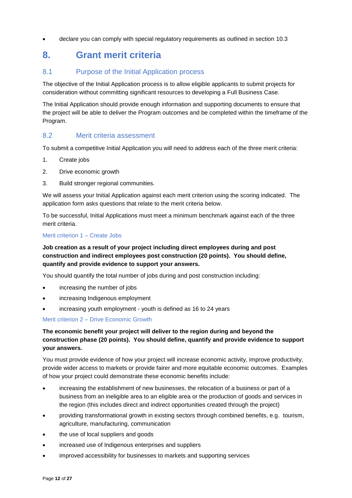declare you can comply with special regulatory requirements as outlined in section 10.3

### **8. Grant merit criteria**

#### 8.1 Purpose of the Initial Application process

The objective of the Initial Application process is to allow eligible applicants to submit projects for consideration without committing significant resources to developing a Full Business Case.

The Initial Application should provide enough information and supporting documents to ensure that the project will be able to deliver the Program outcomes and be completed within the timeframe of the Program.

#### 8.2 Merit criteria assessment

To submit a competitive Initial Application you will need to address each of the three merit criteria:

- 1. Create jobs
- 2. Drive economic growth
- 3. Build stronger regional communities.

We will assess your Initial Application against each merit criterion using the scoring indicated. The application form asks questions that relate to the merit criteria below.

To be successful, Initial Applications must meet a minimum benchmark against each of the three merit criteria.

#### Merit criterion 1 – Create Jobs

#### **Job creation as a result of your project including direct employees during and post construction and indirect employees post construction (20 points). You should define, quantify and provide evidence to support your answers.**

You should quantify the total number of jobs during and post construction including:

- increasing the number of jobs
- increasing Indigenous employment
- increasing youth employment youth is defined as 16 to 24 years

#### Merit criterion 2 – Drive Economic Growth

#### **The economic benefit your project will deliver to the region during and beyond the construction phase (20 points). You should define, quantify and provide evidence to support your answers.**

You must provide evidence of how your project will increase economic activity, improve productivity, provide wider access to markets or provide fairer and more equitable economic outcomes. Examples of how your project could demonstrate these economic benefits include:

- increasing the establishment of new businesses, the relocation of a business or part of a business from an ineligible area to an eligible area or the production of goods and services in the region (this includes direct and indirect opportunities created through the project)
- providing transformational growth in existing sectors through combined benefits, e.g. tourism, agriculture, manufacturing, communication
- the use of local suppliers and goods
- increased use of Indigenous enterprises and suppliers
- improved accessibility for businesses to markets and supporting services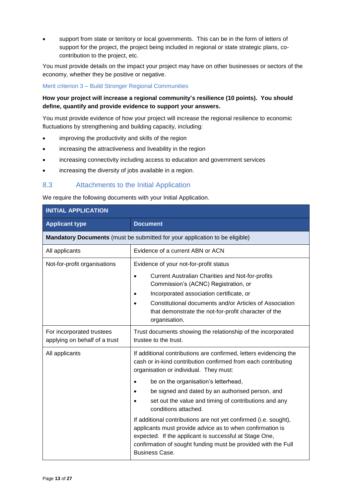support from state or territory or local governments. This can be in the form of letters of support for the project, the project being included in regional or state strategic plans, cocontribution to the project, etc.

You must provide details on the impact your project may have on other businesses or sectors of the economy, whether they be positive or negative.

Merit criterion 3 – Build Stronger Regional Communities

#### **How your project will increase a regional community's resilience (10 points). You should define, quantify and provide evidence to support your answers.**

You must provide evidence of how your project will increase the regional resilience to economic fluctuations by strengthening and building capacity, including:

- improving the productivity and skills of the region
- increasing the attractiveness and liveability in the region
- increasing connectivity including access to education and government services
- increasing the diversity of jobs available in a region.

#### 8.3 Attachments to the Initial Application

We require the following documents with your Initial Application.

| <b>INITIAL APPLICATION</b>                                                  |                                                                                                                                                                                                                                                                                                                                                                                                                                                                                                                                                                                                                                                             |  |  |  |
|-----------------------------------------------------------------------------|-------------------------------------------------------------------------------------------------------------------------------------------------------------------------------------------------------------------------------------------------------------------------------------------------------------------------------------------------------------------------------------------------------------------------------------------------------------------------------------------------------------------------------------------------------------------------------------------------------------------------------------------------------------|--|--|--|
| <b>Applicant type</b>                                                       | <b>Document</b>                                                                                                                                                                                                                                                                                                                                                                                                                                                                                                                                                                                                                                             |  |  |  |
| Mandatory Documents (must be submitted for your application to be eligible) |                                                                                                                                                                                                                                                                                                                                                                                                                                                                                                                                                                                                                                                             |  |  |  |
| All applicants                                                              | Evidence of a current ABN or ACN                                                                                                                                                                                                                                                                                                                                                                                                                                                                                                                                                                                                                            |  |  |  |
| Not-for-profit organisations                                                | Evidence of your not-for-profit status<br><b>Current Australian Charities and Not-for-profits</b><br>$\bullet$<br>Commission's (ACNC) Registration, or<br>Incorporated association certificate, or<br>Constitutional documents and/or Articles of Association<br>that demonstrate the not-for-profit character of the<br>organisation.                                                                                                                                                                                                                                                                                                                      |  |  |  |
| For incorporated trustees<br>applying on behalf of a trust                  | Trust documents showing the relationship of the incorporated<br>trustee to the trust.                                                                                                                                                                                                                                                                                                                                                                                                                                                                                                                                                                       |  |  |  |
| All applicants                                                              | If additional contributions are confirmed, letters evidencing the<br>cash or in-kind contribution confirmed from each contributing<br>organisation or individual. They must:<br>be on the organisation's letterhead,<br>$\bullet$<br>be signed and dated by an authorised person, and<br>set out the value and timing of contributions and any<br>conditions attached.<br>If additional contributions are not yet confirmed (i.e. sought),<br>applicants must provide advice as to when confirmation is<br>expected. If the applicant is successful at Stage One,<br>confirmation of sought funding must be provided with the Full<br><b>Business Case.</b> |  |  |  |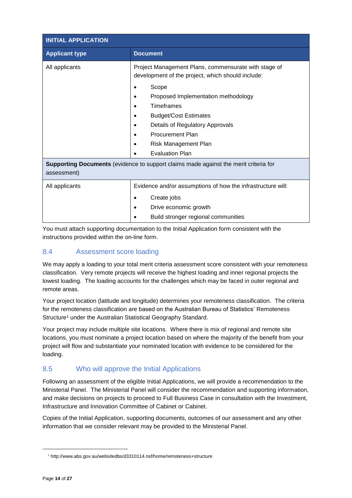| <b>INITIAL APPLICATION</b>                                                                          |                                                                                                           |  |
|-----------------------------------------------------------------------------------------------------|-----------------------------------------------------------------------------------------------------------|--|
| <b>Applicant type</b>                                                                               | <b>Document</b>                                                                                           |  |
| All applicants                                                                                      | Project Management Plans, commensurate with stage of<br>development of the project, which should include: |  |
|                                                                                                     | Scope                                                                                                     |  |
|                                                                                                     | Proposed Implementation methodology                                                                       |  |
|                                                                                                     | Timeframes                                                                                                |  |
|                                                                                                     | <b>Budget/Cost Estimates</b>                                                                              |  |
|                                                                                                     | Details of Regulatory Approvals                                                                           |  |
|                                                                                                     | <b>Procurement Plan</b>                                                                                   |  |
|                                                                                                     | Risk Management Plan                                                                                      |  |
|                                                                                                     | <b>Evaluation Plan</b>                                                                                    |  |
| Supporting Documents (evidence to support claims made against the merit criteria for<br>assessment) |                                                                                                           |  |
| All applicants                                                                                      | Evidence and/or assumptions of how the infrastructure will:                                               |  |
|                                                                                                     | Create jobs                                                                                               |  |
|                                                                                                     | Drive economic growth                                                                                     |  |
|                                                                                                     | Build stronger regional communities                                                                       |  |

You must attach supporting documentation to the Initial Application form consistent with the instructions provided within the on-line form.

### 8.4 Assessment score loading

We may apply a loading to your total merit criteria assessment score consistent with your remoteness classification. Very remote projects will receive the highest loading and inner regional projects the lowest loading. The loading accounts for the challenges which may be faced in outer regional and remote areas.

Your project location (latitude and longitude) determines your remoteness classification. The criteria for the remoteness classification are based on the Australian Bureau of Statistics' [Remoteness](http://www.abs.gov.au/websitedbs/d3310114.nsf/home/remoteness+structure)  [Structure](http://www.abs.gov.au/websitedbs/d3310114.nsf/home/remoteness+structure)<sup>1</sup> under the Australian Statistical Geography Standard.

Your project may include multiple site locations. Where there is mix of regional and remote site locations, you must nominate a project location based on where the majority of the benefit from your project will flow and substantiate your nominated location with evidence to be considered for the loading.

### 8.5 Who will approve the Initial Applications

Following an assessment of the eligible Initial Applications, we will provide a recommendation to the Ministerial Panel. The Ministerial Panel will consider the recommendation and supporting information, and make decisions on projects to proceed to Full Business Case in consultation with the Investment, Infrastructure and Innovation Committee of Cabinet or Cabinet.

Copies of the Initial Application, supporting documents, outcomes of our assessment and any other information that we consider relevant may be provided to the Ministerial Panel.

-

<sup>&</sup>lt;sup>1</sup> http://www.abs.gov.au/websitedbs/d3310114.nsf/home/remoteness+structure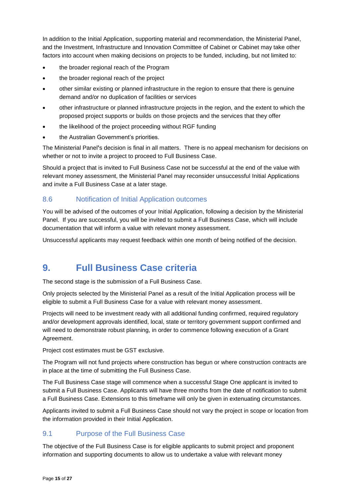In addition to the Initial Application, supporting material and recommendation, the Ministerial Panel, and the Investment, Infrastructure and Innovation Committee of Cabinet or Cabinet may take other factors into account when making decisions on projects to be funded, including, but not limited to:

- the broader regional reach of the Program
- the broader regional reach of the project
- other similar existing or planned infrastructure in the region to ensure that there is genuine demand and/or no duplication of facilities or services
- other infrastructure or planned infrastructure projects in the region, and the extent to which the proposed project supports or builds on those projects and the services that they offer
- the likelihood of the project proceeding without RGF funding
- the Australian Government's priorities.

The Ministerial Panel**'**s decision is final in all matters. There is no appeal mechanism for decisions on whether or not to invite a project to proceed to Full Business Case.

Should a project that is invited to Full Business Case not be successful at the end of the value with relevant money assessment, the Ministerial Panel may reconsider unsuccessful Initial Applications and invite a Full Business Case at a later stage.

#### 8.6 Notification of Initial Application outcomes

You will be advised of the outcomes of your Initial Application, following a decision by the Ministerial Panel. If you are successful, you will be invited to submit a Full Business Case, which will include documentation that will inform a value with relevant money assessment.

Unsuccessful applicants may request feedback within one month of being notified of the decision.

### **9. Full Business Case criteria**

The second stage is the submission of a Full Business Case.

Only projects selected by the Ministerial Panel as a result of the Initial Application process will be eligible to submit a Full Business Case for a value with relevant money assessment.

Projects will need to be investment ready with all additional funding confirmed, required regulatory and/or development approvals identified, local, state or territory government support confirmed and will need to demonstrate robust planning, in order to commence following execution of a Grant Agreement.

Project cost estimates must be GST exclusive.

The Program will not fund projects where construction has begun or where construction contracts are in place at the time of submitting the Full Business Case.

The Full Business Case stage will commence when a successful Stage One applicant is invited to submit a Full Business Case. Applicants will have three months from the date of notification to submit a Full Business Case. Extensions to this timeframe will only be given in extenuating circumstances.

Applicants invited to submit a Full Business Case should not vary the project in scope or location from the information provided in their Initial Application.

#### 9.1 Purpose of the Full Business Case

The objective of the Full Business Case is for eligible applicants to submit project and proponent information and supporting documents to allow us to undertake a value with relevant money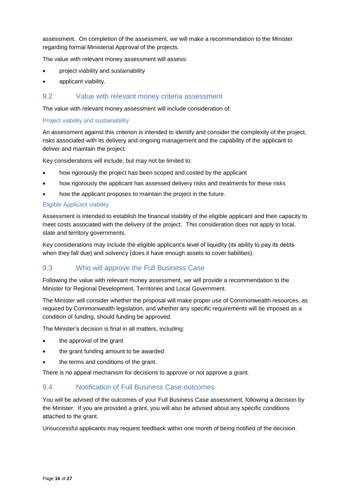assessment. On completion of the assessment, we will make a recommendation to the Minister regarding formal Ministerial Approval of the projects.

The value with relevant money assessment will assess:

- project viability and sustainability
- applicant viability.

#### 9.2 Value with relevant money criteria assessment

The value with relevant money assessment will include consideration of:

#### Project viability and sustainability

An assessment against this criterion is intended to identify and consider the complexity of the project, risks associated with its delivery and ongoing management and the capability of the applicant to deliver and maintain the project.

Key considerations will include, but may not be limited to:

- how rigorously the project has been scoped and costed by the applicant
- how rigorously the applicant has assessed delivery risks and treatments for these risks
- how the applicant proposes to maintain the project in the future.

#### Eligible Applicant viability

Assessment is intended to establish the financial stability of the eligible applicant and their capacity to meet costs associated with the delivery of the project. This consideration does not apply to local, state and territory governments.

Key considerations may include the eligible applicant's level of liquidity (its ability to pay its debts when they fall due) and solvency (does it have enough assets to cover liabilities).

#### 9.3 Who will approve the Full Business Case

Following the value with relevant money assessment, we will provide a recommendation to the Minister for Regional Development, Territories and Local Government.

The Minister will consider whether the proposal will make proper use of Commonwealth resources, as required by Commonwealth legislation, and whether any specific requirements will be imposed as a condition of funding, should funding be approved.

The Minister's decision is final in all matters, including:

- the approval of the grant
- the grant funding amount to be awarded
- the terms and conditions of the grant.

There is no appeal mechanism for decisions to approve or not approve a grant.

#### 9.4 Notification of Full Business Case outcomes

You will be advised of the outcomes of your Full Business Case assessment, following a decision by the Minister. If you are provided a grant, you will also be advised about any specific conditions attached to the grant.

Unsuccessful applicants may request feedback within one month of being notified of the decision.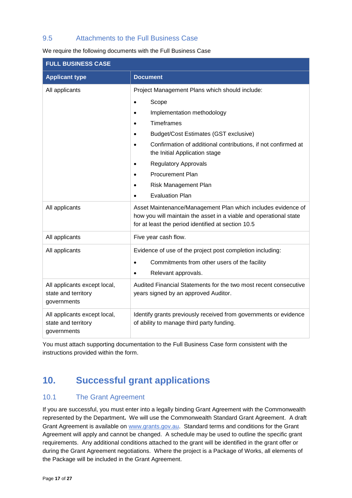### 9.5 Attachments to the Full Business Case

| <b>FULL BUSINESS CASE</b>                                          |                                                                                                                                                                                                                                                                                                                                                                                             |  |
|--------------------------------------------------------------------|---------------------------------------------------------------------------------------------------------------------------------------------------------------------------------------------------------------------------------------------------------------------------------------------------------------------------------------------------------------------------------------------|--|
| <b>Applicant type</b>                                              | <b>Document</b>                                                                                                                                                                                                                                                                                                                                                                             |  |
| All applicants                                                     | Project Management Plans which should include:<br>Scope<br>$\bullet$<br>Implementation methodology<br><b>Timeframes</b><br>Budget/Cost Estimates (GST exclusive)<br>Confirmation of additional contributions, if not confirmed at<br>the Initial Application stage<br><b>Regulatory Approvals</b><br>$\bullet$<br><b>Procurement Plan</b><br>Risk Management Plan<br><b>Evaluation Plan</b> |  |
| All applicants                                                     | Asset Maintenance/Management Plan which includes evidence of<br>how you will maintain the asset in a viable and operational state<br>for at least the period identified at section 10.5                                                                                                                                                                                                     |  |
| All applicants                                                     | Five year cash flow.                                                                                                                                                                                                                                                                                                                                                                        |  |
| All applicants                                                     | Evidence of use of the project post completion including:<br>Commitments from other users of the facility<br>Relevant approvals.                                                                                                                                                                                                                                                            |  |
| All applicants except local,<br>state and territory<br>governments | Audited Financial Statements for the two most recent consecutive<br>years signed by an approved Auditor.                                                                                                                                                                                                                                                                                    |  |
| All applicants except local,<br>state and territory<br>governments | Identify grants previously received from governments or evidence<br>of ability to manage third party funding.                                                                                                                                                                                                                                                                               |  |

We require the following documents with the Full Business Case

You must attach supporting documentation to the Full Business Case form consistent with the instructions provided within the form.

### **10. Successful grant applications**

### 10.1 The Grant Agreement

If you are successful, you must enter into a legally binding Grant Agreement with the Commonwealth represented by the Department**.** We will use the [Commonwealth Standard Grant Agreement.](http://www.finance.gov.au/financial-framework/financial-management-policy-guidance/grants/grant-agreement-template-project.html) A draft Grant Agreement is available on www.grants.gov.au. Standard terms and conditions for the Grant Agreement will apply and cannot be changed. A schedule may be used to outline the specific grant requirements. Any additional conditions attached to the grant will be identified in the grant offer or during the Grant Agreement negotiations. Where the project is a Package of Works, all elements of the Package will be included in the Grant Agreement.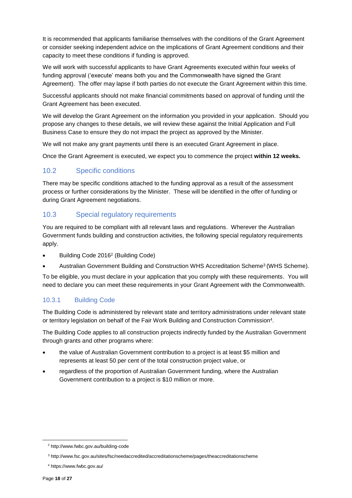It is recommended that applicants familiarise themselves with the conditions of the Grant Agreement or consider seeking independent advice on the implications of Grant Agreement conditions and their capacity to meet these conditions if funding is approved.

We will work with successful applicants to have Grant Agreements executed within four weeks of funding approval ('execute' means both you and the Commonwealth have signed the Grant Agreement). The offer may lapse if both parties do not execute the Grant Agreement within this time.

Successful applicants should not make financial commitments based on approval of funding until the Grant Agreement has been executed.

We will develop the Grant Agreement on the information you provided in your application. Should you propose any changes to these details, we will review these against the Initial Application and Full Business Case to ensure they do not impact the project as approved by the Minister.

We will not make any grant payments until there is an executed Grant Agreement in place.

Once the Grant Agreement is executed, we expect you to commence the project **within 12 weeks.**

#### 10.2 Specific conditions

There may be specific conditions attached to the funding approval as a result of the assessment process or further considerations by the Minister. These will be identified in the offer of funding or during Grant Agreement negotiations.

#### 10.3 Special regulatory requirements

You are required to be compliant with all relevant laws and regulations. Wherever the Australian Government funds building and construction activities, the following special regulatory requirements apply.

- Building Code 2016<sup>2</sup> (Building Code)
- Australian Government Building and Construction WHS Accreditation Scheme<sup>3</sup> (WHS Scheme).

To be eligible, you must declare in your application that you comply with these requirements. You will need to declare you can meet these requirements in your Grant Agreement with the Commonwealth.

#### 10.3.1 Building Code

The Building Code is administered by relevant state and territory administrations under relevant state or territory legislation on behalf of the Fair Work Building and Construction Commission<sup>4</sup> .

The Building Code applies to all construction projects indirectly funded by the Australian Government through grants and other programs where:

- the value of Australian Government contribution to a project is at least \$5 million and represents at least 50 per cent of the total construction project value, or
- regardless of the proportion of Australian Government funding, where the Australian Government contribution to a project is \$10 million or more.

-

<sup>2</sup> http://www.fwbc.gov.au/building-code

<sup>3</sup> http://www.fsc.gov.au/sites/fsc/needaccredited/accreditationscheme/pages/theaccreditationscheme

<sup>4</sup> https://www.fwbc.gov.au/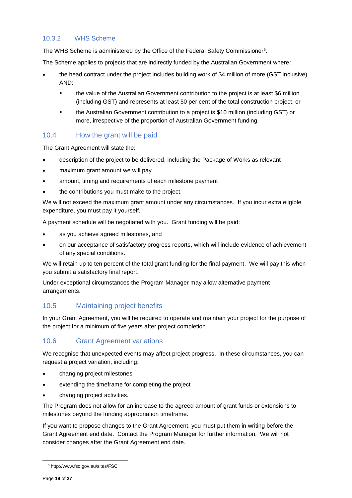#### 10.3.2 WHS Scheme

The WHS Scheme is administered by the Office of the Federal Safety Commissioner<sup>5</sup> .

The Scheme applies to projects that are indirectly funded by the Australian Government where:

- the head contract under the project includes building work of \$4 million of more (GST inclusive) AND:
	- the value of the Australian Government contribution to the project is at least \$6 million (including GST) and represents at least 50 per cent of the total construction project; or
	- the Australian Government contribution to a project is \$10 million (including GST) or more, irrespective of the proportion of Australian Government funding.

#### 10.4 How the grant will be paid

The Grant Agreement will state the:

- description of the project to be delivered, including the Package of Works as relevant
- maximum grant amount we will pay
- amount, timing and requirements of each milestone payment
- the contributions you must make to the project.

We will not exceed the maximum grant amount under any circumstances. If you incur extra eligible expenditure, you must pay it yourself.

A payment schedule will be negotiated with you. Grant funding will be paid:

- as you achieve agreed milestones, and
- on our acceptance of satisfactory progress reports, which will include evidence of achievement of any special conditions.

We will retain up to ten percent of the total grant funding for the final payment. We will pay this when you submit a satisfactory final report.

Under exceptional circumstances the Program Manager may allow alternative payment arrangements.

#### <span id="page-18-0"></span>10.5 Maintaining project benefits

In your Grant Agreement, you will be required to operate and maintain your project for the purpose of the project for a minimum of five years after project completion.

#### 10.6 Grant Agreement variations

We recognise that unexpected events may affect project progress. In these circumstances, you can request a project variation, including:

- changing project milestones
- extending the timeframe for completing the project
- changing project activities.

The Program does not allow for an increase to the agreed amount of grant funds or extensions to milestones beyond the funding appropriation timeframe.

If you want to propose changes to the Grant Agreement, you must put them in writing before the Grant Agreement end date. Contact the Program Manager for further information. We will not consider changes after the Grant Agreement end date.

-

<sup>5</sup> http://www.fsc.gov.au/sites/FSC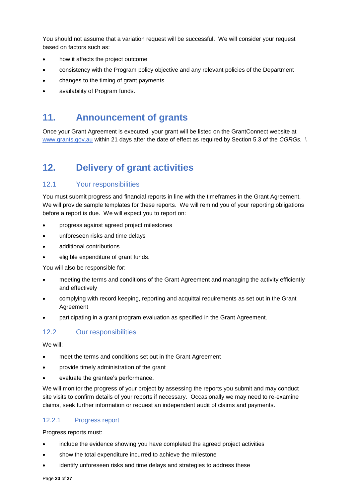You should not assume that a variation request will be successful. We will consider your request based on factors such as:

- how it affects the project outcome
- consistency with the Program policy objective and any relevant policies of the Department
- changes to the timing of grant payments
- availability of Program funds.

### **11. Announcement of grants**

Once your Grant Agreement is executed, your grant will be listed on the GrantConnect website at [www.grants.gov.au](http://www.grants.gov.au/) within 21 days after the date of effect as required by Section 5.3 of the *CGRGs. \*

### **12. Delivery of grant activities**

#### 12.1 Your responsibilities

You must submit progress and financial reports in line with the timeframes in the [Grant Agreement.](file://///prod.protected.ind/User/user03/LLau2/insert%20link%20here) We will provide sample templates for these reports. We will remind you of your reporting obligations before a report is due. We will expect you to report on:

- progress against agreed project milestones
- unforeseen risks and time delays
- additional contributions
- eligible expenditure of grant funds.

You will also be responsible for:

- meeting the terms and conditions of the Grant Agreement and managing the activity efficiently and effectively
- complying with record keeping, reporting and acquittal requirements as set out in the Grant Agreement
- participating in a grant program evaluation as specified in the Grant Agreement.

#### 12.2 Our responsibilities

#### We will:

- meet the terms and conditions set out in the Grant Agreement
- provide timely administration of the grant
- evaluate the grantee's performance.

We will monitor the progress of your project by assessing the reports you submit and may conduct site visits to confirm details of your reports if necessary. Occasionally we may need to re-examine claims, seek further information or request an independent audit of claims and payments.

#### 12.2.1 Progress report

Progress reports must:

- include the evidence showing you have completed the agreed project activities
- show the total expenditure incurred to achieve the milestone
- identify unforeseen risks and time delays and strategies to address these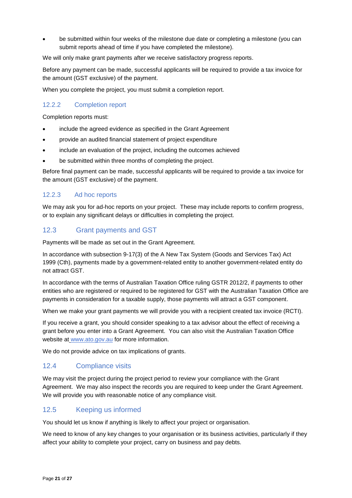be submitted within four weeks of the milestone due date or completing a milestone (you can submit reports ahead of time if you have completed the milestone).

We will only make grant payments after we receive satisfactory progress reports.

Before any payment can be made, successful applicants will be required to provide a tax invoice for the amount (GST exclusive) of the payment.

When you complete the project, you must submit a completion report.

#### 12.2.2 Completion report

Completion reports must:

- include the agreed evidence as specified in the Grant Agreement
- provide an audited financial statement of project expenditure
- include an evaluation of the project, including the outcomes achieved
- be submitted within three months of completing the project.

Before final payment can be made, successful applicants will be required to provide a tax invoice for the amount (GST exclusive) of the payment.

#### 12.2.3 Ad hoc reports

We may ask you for ad-hoc reports on your project. These may include reports to confirm progress, or to explain any significant delays or difficulties in completing the project.

#### 12.3 Grant payments and GST

Payments will be made as set out in the Grant Agreement.

In accordance with subsection 9-17(3) of the A New Tax System (Goods and Services Tax) Act 1999 (Cth), payments made by a government-related entity to another government-related entity do not attract GST.

In accordance with the terms of Australian Taxation Office ruling GSTR 2012/2, if payments to other entities who are registered or required to be registered for GST with the Australian Taxation Office are payments in consideration for a taxable supply, those payments will attract a GST component.

When we make your grant payments we will provide you with a recipient created tax invoice (RCTI).

If you receive a grant, you should consider speaking to a tax advisor about the effect of receiving a grant before you enter into a Grant Agreement. You can also visit the Australian Taxation Office website at [www.ato.gov.au](http://www.ato.gov.au/) for more information.

We do not provide advice on tax implications of grants.

#### 12.4 Compliance visits

We may visit the project during the project period to review your compliance with the Grant Agreement. We may also inspect the records you are required to keep under the Grant Agreement. We will provide you with reasonable notice of any compliance visit.

#### 12.5 Keeping us informed

You should let us know if anything is likely to affect your project or organisation.

We need to know of any key changes to your organisation or its business activities, particularly if they affect your ability to complete your project, carry on business and pay debts.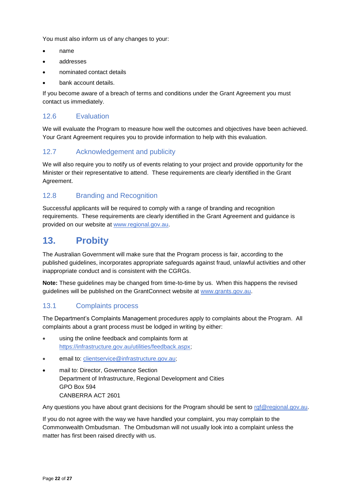You must also inform us of any changes to your:

- name
- addresses
- nominated contact details
- bank account details.

If you become aware of a breach of terms and conditions under the Grant Agreement you must contact us immediately.

#### 12.6 Evaluation

We will evaluate the Program to measure how well the outcomes and objectives have been achieved. Your Grant Agreement requires you to provide information to help with this evaluation.

#### 12.7 Acknowledgement and publicity

We will also require you to notify us of events relating to your project and provide opportunity for the Minister or their representative to attend. These requirements are clearly identified in the Grant Agreement.

#### 12.8 Branding and Recognition

Successful applicants will be required to comply with a range of branding and recognition requirements. These requirements are clearly identified in the Grant Agreement and guidance is provided on our website at [www.regional.gov.au.](http://www.regional.gov.au/)

### **13. Probity**

The Australian Government will make sure that the Program process is fair, according to the published guidelines, incorporates appropriate safeguards against fraud, unlawful activities and other inappropriate conduct and is consistent with the CGRGs.

**Note:** These guidelines may be changed from time-to-time by us. When this happens the revised guidelines will be published on the GrantConnect website at [www.grants.gov.au.](http://www.grants.gov.au/)

#### 13.1 Complaints process

The Department's Complaints Management procedures apply to complaints about the Program. All complaints about a grant process must be lodged in writing by either:

- using the online feedback and complaints form at [https://infrastructure.gov.au/utilities/feedback.aspx;](https://infrastructure.gov.au/utilities/feedback.aspx)
- email to: [clientservice@infrastructure.gov.au;](mailto:clientservice@infrastructure.gov.au)
- mail to: Director, Governance Section Department of Infrastructure, Regional Development and Cities GPO Box 594 CANBERRA ACT 2601

Any questions you have about grant decisions for the Program should be sent to [rgf@regional.gov.au.](mailto:rgf@regional.gov.au)

If you do not agree with the way we have handled your complaint, you may complain to the Commonwealth Ombudsman. The Ombudsman will not usually look into a complaint unless the matter has first been raised directly with us.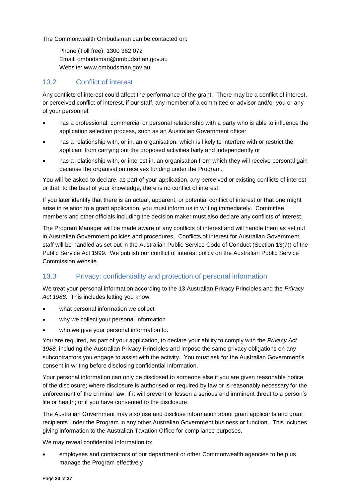The Commonwealth Ombudsman can be contacted on:

Phone (Toll free): 1300 362 072 Email: [ombudsman@ombudsman.gov.au](mailto:ombudsman@ombudsman.gov.au) Website: [www.ombudsman.gov.au](http://www.ombudsman.gov.au/)

#### 13.2 Conflict of interest

Any conflicts of interest could affect the performance of the grant. There may be a [conflict of interest,](http://www.apsc.gov.au/publications-and-media/current-publications/aps-values-and-code-of-conduct-in-practice/conflict-of-interest) or perceived conflict of interest, if our staff, any member of a committee or advisor and/or you or any of your personnel:

- has a professional, commercial or personal relationship with a party who is able to influence the application selection process, such as an Australian Government officer
- has a relationship with, or in, an organisation, which is likely to interfere with or restrict the applicant from carrying out the proposed activities fairly and independently or
- has a relationship with, or interest in, an organisation from which they will receive personal gain because the organisation receives funding under the Program.

You will be asked to declare, as part of your application, any perceived or existing conflicts of interest or that, to the best of your knowledge, there is no conflict of interest.

If you later identify that there is an actual, apparent, or potential conflict of interest or that one might arise in relation to a grant application, you must inform us in writing immediately. Committee members and other officials including the decision maker must also declare any conflicts of interest.

The Program Manager will be made aware of any conflicts of interest and will handle them as set out in Australian Government policies and procedures. Conflicts of interest for Australian Government staff will be handled as set out in the Australian Public Service Code of Conduct (Section 13(7)) of the Public Service Act 1999. We publish our conflict of interest policy on the Australian Public Service Commission website.

### 13.3 Privacy: confidentiality and protection of personal information

We treat your personal information according to the 13 Australian Privacy Principles and the *Privacy Act 1988*. This includes letting you know:

- what personal information we collect
- why we collect your personal information
- who we give your personal information to.

You are required, as part of your application, to declare your ability to comply with the *[Privacy Act](http://www.comlaw.gov.au/Details/C2014C00757)  [1988,](http://www.comlaw.gov.au/Details/C2014C00757)* including the Australian Privacy Principles and impose the same privacy obligations on any subcontractors you engage to assist with the activity. You must ask for the Australian Government's consent in writing before disclosing confidential information.

Your personal information can only be disclosed to someone else if you are given reasonable notice of the disclosure; where disclosure is authorised or required by law or is reasonably necessary for the enforcement of the criminal law; if it will prevent or lessen a serious and imminent threat to a person's life or health; or if you have consented to the disclosure.

The Australian Government may also use and disclose information about grant applicants and grant recipients under the Program in any other Australian Government business or function. This includes giving information to the Australian Taxation Office for compliance purposes.

We may reveal confidential information to:

 employees and contractors of our department or other Commonwealth agencies to help us manage the Program effectively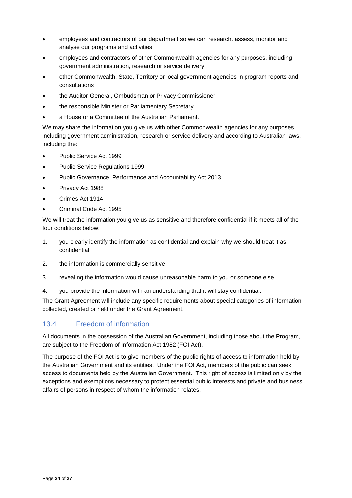- employees and contractors of our department so we can research, assess, monitor and analyse our programs and activities
- employees and contractors of other Commonwealth agencies for any purposes, including government administration, research or service delivery
- other Commonwealth, State, Territory or local government agencies in program reports and consultations
- the Auditor-General, Ombudsman or Privacy Commissioner
- the responsible Minister or Parliamentary Secretary
- a House or a Committee of the Australian Parliament.

We may share the information you give us with other Commonwealth agencies for any purposes including government administration, research or service delivery and according to Australian laws, including the:

- Public Service Act 1999
- Public Service Regulations 1999
- Public Governance, Performance and Accountability Act 2013
- Privacy Act 1988
- Crimes Act 1914
- Criminal Code Act 1995

We will treat the information you give us as sensitive and therefore confidential if it meets all of the four conditions below:

- 1. you clearly identify the information as confidential and explain why we should treat it as confidential
- 2. the information is commercially sensitive
- 3. revealing the information would cause unreasonable harm to you or someone else
- 4. you provide the information with an understanding that it will stay confidential.

The Grant Agreement will include any specific requirements about special categories of information collected, created or held under the Grant Agreement.

#### 13.4 Freedom of information

All documents in the possession of the Australian Government, including those about the Program, are subject to the Freedom of Information Act 1982 (FOI Act).

The purpose of the FOI Act is to give members of the public rights of access to information held by the Australian Government and its entities. Under the FOI Act, members of the public can seek access to documents held by the Australian Government. This right of access is limited only by the exceptions and exemptions necessary to protect essential public interests and private and business affairs of persons in respect of whom the information relates.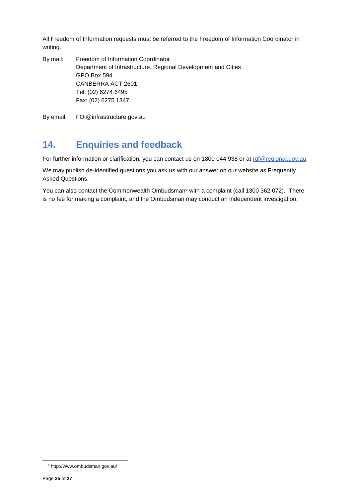All Freedom of Information requests must be referred to the Freedom of Information Coordinator in writing.

By mail: Freedom of Information Coordinator Department of Infrastructure, Regional Development and Cities GPO Box 594 CANBERRA ACT 2601 Tel: (02) 6274 6495 Fax: (02) 6275 1347

By email: FOI@infrastructure.gov.au

## **14. Enquiries and feedback**

For further information or clarification, you can contact us on 1800 044 938 or at rgf@regional.gov.au.

We may publish de-identified questions you ask us with our answer on our website as Frequently Asked Questions.

You can also contact the Commonwealth Ombudsman<sup>6</sup> with a complaint (call 1300 362 072). There is no fee for making a complaint, and the Ombudsman may conduct an independent investigation.

-

<sup>6</sup> http://www.ombudsman.gov.au/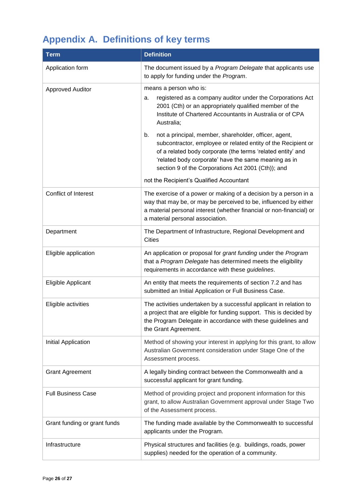## **Appendix A. Definitions of key terms**

| <b>Term</b>                  | <b>Definition</b>                                                                                                                                                                                                                                                                                         |
|------------------------------|-----------------------------------------------------------------------------------------------------------------------------------------------------------------------------------------------------------------------------------------------------------------------------------------------------------|
| Application form             | The document issued by a Program Delegate that applicants use<br>to apply for funding under the Program.                                                                                                                                                                                                  |
| <b>Approved Auditor</b>      | means a person who is:<br>registered as a company auditor under the Corporations Act<br>а.<br>2001 (Cth) or an appropriately qualified member of the<br>Institute of Chartered Accountants in Australia or of CPA<br>Australia;                                                                           |
|                              | not a principal, member, shareholder, officer, agent,<br>b.<br>subcontractor, employee or related entity of the Recipient or<br>of a related body corporate (the terms 'related entity' and<br>'related body corporate' have the same meaning as in<br>section 9 of the Corporations Act 2001 (Cth)); and |
|                              | not the Recipient's Qualified Accountant                                                                                                                                                                                                                                                                  |
| Conflict of Interest         | The exercise of a power or making of a decision by a person in a<br>way that may be, or may be perceived to be, influenced by either<br>a material personal interest (whether financial or non-financial) or<br>a material personal association.                                                          |
| Department                   | The Department of Infrastructure, Regional Development and<br><b>Cities</b>                                                                                                                                                                                                                               |
| Eligible application         | An application or proposal for grant funding under the Program<br>that a Program Delegate has determined meets the eligibility<br>requirements in accordance with these guidelines.                                                                                                                       |
| Eligible Applicant           | An entity that meets the requirements of section 7.2 and has<br>submitted an Initial Application or Full Business Case.                                                                                                                                                                                   |
| Eligible activities          | The activities undertaken by a successful applicant in relation to<br>a project that are eligible for funding support. This is decided by<br>the Program Delegate in accordance with these guidelines and<br>the Grant Agreement.                                                                         |
| Initial Application          | Method of showing your interest in applying for this grant, to allow<br>Australian Government consideration under Stage One of the<br>Assessment process.                                                                                                                                                 |
| <b>Grant Agreement</b>       | A legally binding contract between the Commonwealth and a<br>successful applicant for grant funding.                                                                                                                                                                                                      |
| <b>Full Business Case</b>    | Method of providing project and proponent information for this<br>grant, to allow Australian Government approval under Stage Two<br>of the Assessment process.                                                                                                                                            |
| Grant funding or grant funds | The funding made available by the Commonwealth to successful<br>applicants under the Program.                                                                                                                                                                                                             |
| Infrastructure               | Physical structures and facilities (e.g. buildings, roads, power<br>supplies) needed for the operation of a community.                                                                                                                                                                                    |